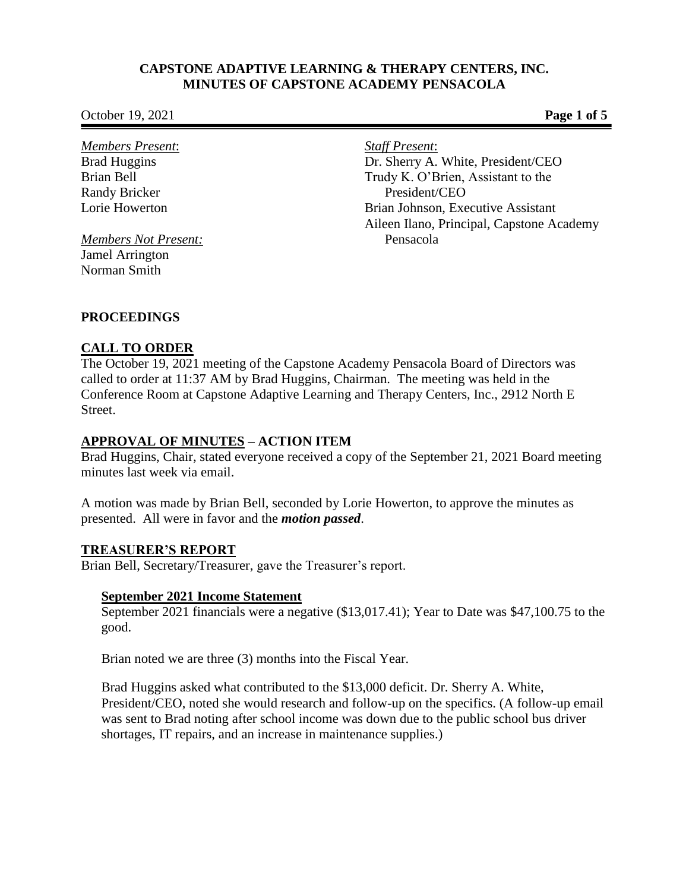**October 19, 2021 Page 1 of 5** 

*Members Present*: Brad Huggins Brian Bell Randy Bricker Lorie Howerton

*Members Not Present:* Jamel Arrington Norman Smith

*Staff Present*:

Dr. Sherry A. White, President/CEO Trudy K. O'Brien, Assistant to the President/CEO Brian Johnson, Executive Assistant Aileen Ilano, Principal, Capstone Academy Pensacola

## **PROCEEDINGS**

## **CALL TO ORDER**

The October 19, 2021 meeting of the Capstone Academy Pensacola Board of Directors was called to order at 11:37 AM by Brad Huggins, Chairman. The meeting was held in the Conference Room at Capstone Adaptive Learning and Therapy Centers, Inc., 2912 North E Street.

# **APPROVAL OF MINUTES – ACTION ITEM**

Brad Huggins, Chair, stated everyone received a copy of the September 21, 2021 Board meeting minutes last week via email.

A motion was made by Brian Bell, seconded by Lorie Howerton, to approve the minutes as presented. All were in favor and the *motion passed*.

## **TREASURER'S REPORT**

Brian Bell, Secretary/Treasurer, gave the Treasurer's report.

## **September 2021 Income Statement**

September 2021 financials were a negative (\$13,017.41); Year to Date was \$47,100.75 to the good.

Brian noted we are three (3) months into the Fiscal Year.

Brad Huggins asked what contributed to the \$13,000 deficit. Dr. Sherry A. White, President/CEO, noted she would research and follow-up on the specifics. (A follow-up email was sent to Brad noting after school income was down due to the public school bus driver shortages, IT repairs, and an increase in maintenance supplies.)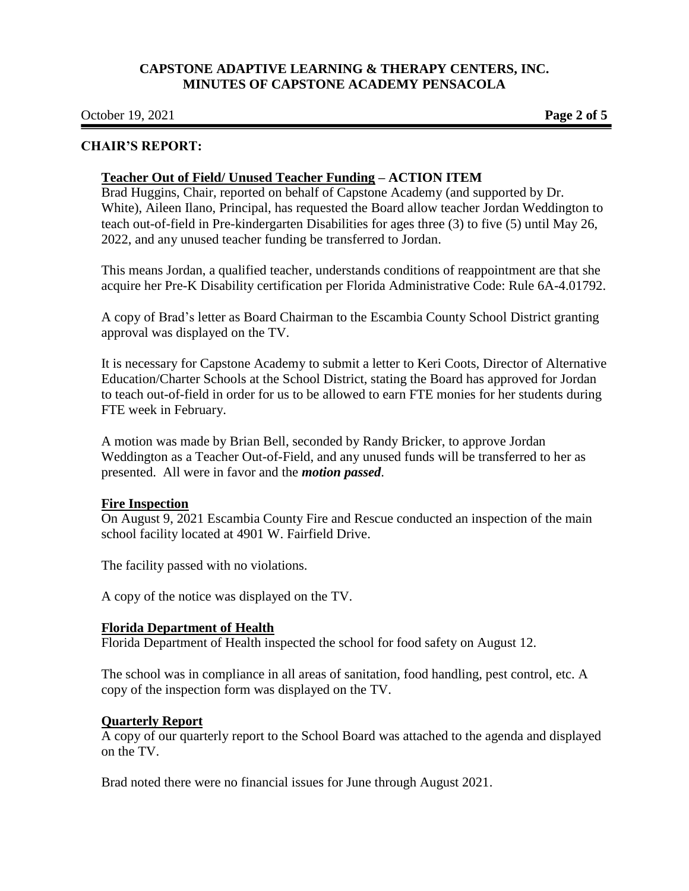**October 19, 2021 Page 2 of 5** 

### **CHAIR'S REPORT:**

#### **Teacher Out of Field/ Unused Teacher Funding – ACTION ITEM**

Brad Huggins, Chair, reported on behalf of Capstone Academy (and supported by Dr. White), Aileen Ilano, Principal, has requested the Board allow teacher Jordan Weddington to teach out-of-field in Pre-kindergarten Disabilities for ages three (3) to five (5) until May 26, 2022, and any unused teacher funding be transferred to Jordan.

This means Jordan, a qualified teacher, understands conditions of reappointment are that she acquire her Pre-K Disability certification per Florida Administrative Code: Rule 6A-4.01792.

A copy of Brad's letter as Board Chairman to the Escambia County School District granting approval was displayed on the TV.

It is necessary for Capstone Academy to submit a letter to Keri Coots, Director of Alternative Education/Charter Schools at the School District, stating the Board has approved for Jordan to teach out-of-field in order for us to be allowed to earn FTE monies for her students during FTE week in February.

A motion was made by Brian Bell, seconded by Randy Bricker, to approve Jordan Weddington as a Teacher Out-of-Field, and any unused funds will be transferred to her as presented. All were in favor and the *motion passed*.

#### **Fire Inspection**

On August 9, 2021 Escambia County Fire and Rescue conducted an inspection of the main school facility located at 4901 W. Fairfield Drive.

The facility passed with no violations.

A copy of the notice was displayed on the TV.

## **Florida Department of Health**

Florida Department of Health inspected the school for food safety on August 12.

The school was in compliance in all areas of sanitation, food handling, pest control, etc. A copy of the inspection form was displayed on the TV.

## **Quarterly Report**

A copy of our quarterly report to the School Board was attached to the agenda and displayed on the TV.

Brad noted there were no financial issues for June through August 2021.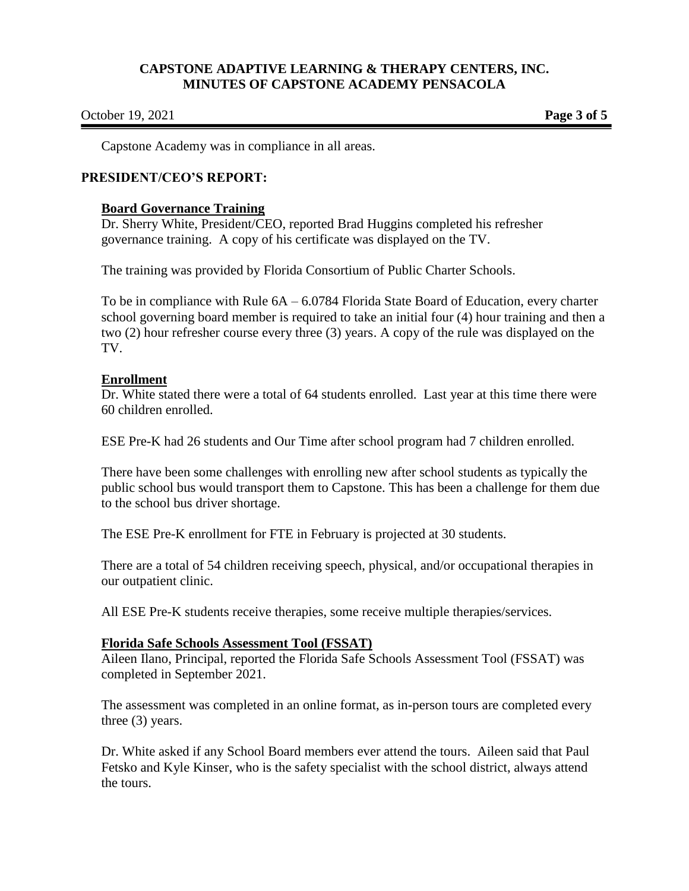#### **October 19, 2021 Page 3 of 5**

Capstone Academy was in compliance in all areas.

### **PRESIDENT/CEO'S REPORT:**

#### **Board Governance Training**

Dr. Sherry White, President/CEO, reported Brad Huggins completed his refresher governance training. A copy of his certificate was displayed on the TV.

The training was provided by Florida Consortium of Public Charter Schools.

To be in compliance with Rule 6A – 6.0784 Florida State Board of Education, every charter school governing board member is required to take an initial four (4) hour training and then a two (2) hour refresher course every three (3) years. A copy of the rule was displayed on the TV.

### **Enrollment**

Dr. White stated there were a total of 64 students enrolled. Last year at this time there were 60 children enrolled.

ESE Pre-K had 26 students and Our Time after school program had 7 children enrolled.

There have been some challenges with enrolling new after school students as typically the public school bus would transport them to Capstone. This has been a challenge for them due to the school bus driver shortage.

The ESE Pre-K enrollment for FTE in February is projected at 30 students.

There are a total of 54 children receiving speech, physical, and/or occupational therapies in our outpatient clinic.

All ESE Pre-K students receive therapies, some receive multiple therapies/services.

#### **Florida Safe Schools Assessment Tool (FSSAT)**

Aileen Ilano, Principal, reported the Florida Safe Schools Assessment Tool (FSSAT) was completed in September 2021.

The assessment was completed in an online format, as in-person tours are completed every three (3) years.

Dr. White asked if any School Board members ever attend the tours. Aileen said that Paul Fetsko and Kyle Kinser, who is the safety specialist with the school district, always attend the tours.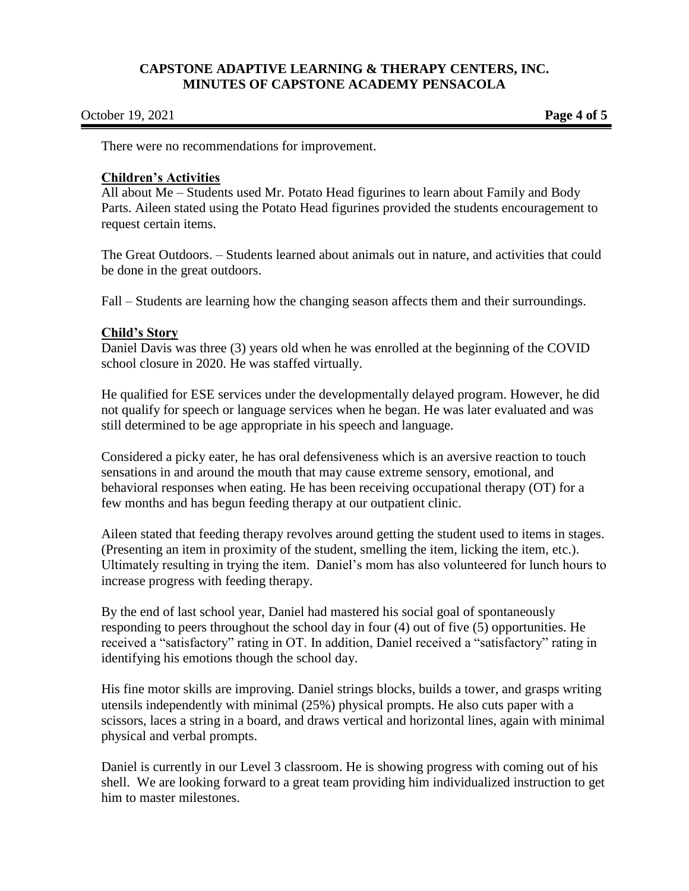| October 19, 2021 |  |  |  |
|------------------|--|--|--|
|------------------|--|--|--|

**Page 4 of 5** 

There were no recommendations for improvement.

#### **Children's Activities**

All about Me – Students used Mr. Potato Head figurines to learn about Family and Body Parts. Aileen stated using the Potato Head figurines provided the students encouragement to request certain items.

The Great Outdoors. – Students learned about animals out in nature, and activities that could be done in the great outdoors.

Fall – Students are learning how the changing season affects them and their surroundings.

### **Child's Story**

Daniel Davis was three (3) years old when he was enrolled at the beginning of the COVID school closure in 2020. He was staffed virtually.

He qualified for ESE services under the developmentally delayed program. However, he did not qualify for speech or language services when he began. He was later evaluated and was still determined to be age appropriate in his speech and language.

Considered a picky eater, he has oral defensiveness which is an aversive reaction to touch sensations in and around the mouth that may cause extreme sensory, emotional, and behavioral responses when eating. He has been receiving occupational therapy (OT) for a few months and has begun feeding therapy at our outpatient clinic.

Aileen stated that feeding therapy revolves around getting the student used to items in stages. (Presenting an item in proximity of the student, smelling the item, licking the item, etc.). Ultimately resulting in trying the item. Daniel's mom has also volunteered for lunch hours to increase progress with feeding therapy.

By the end of last school year, Daniel had mastered his social goal of spontaneously responding to peers throughout the school day in four (4) out of five (5) opportunities. He received a "satisfactory" rating in OT. In addition, Daniel received a "satisfactory" rating in identifying his emotions though the school day.

His fine motor skills are improving. Daniel strings blocks, builds a tower, and grasps writing utensils independently with minimal (25%) physical prompts. He also cuts paper with a scissors, laces a string in a board, and draws vertical and horizontal lines, again with minimal physical and verbal prompts.

Daniel is currently in our Level 3 classroom. He is showing progress with coming out of his shell. We are looking forward to a great team providing him individualized instruction to get him to master milestones.